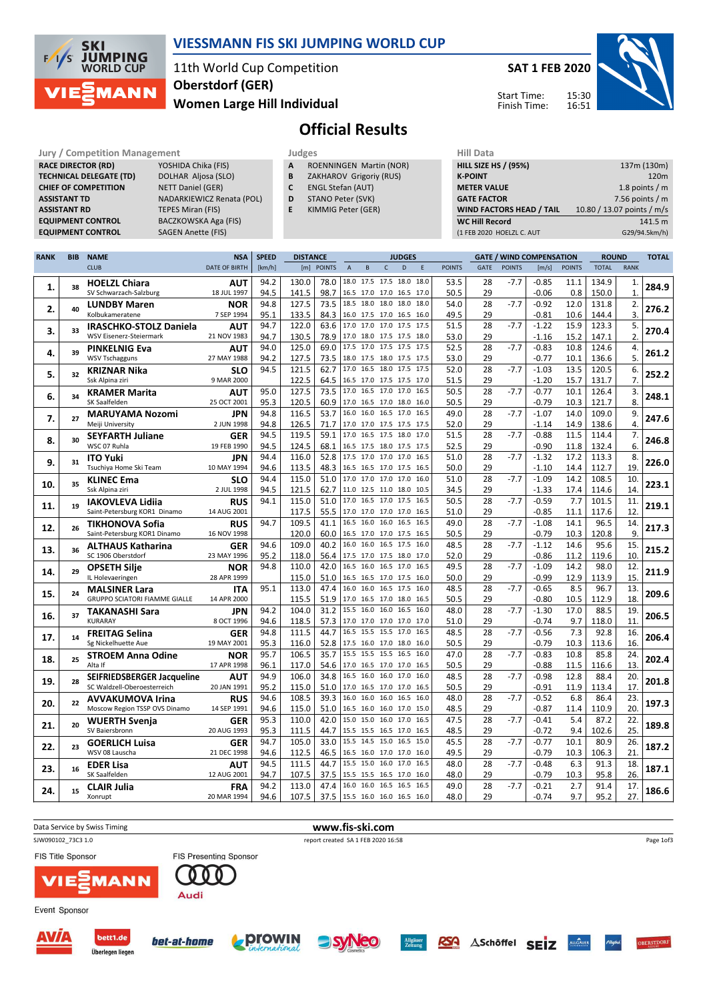

## VIESSMANN FIS SKI JUMPING WORLD CUP

11th World Cup Competition Women Large Hill Individual Oberstdorf (GER)

SAT 1 FEB 2020

Start Time: Finish Time:



Official Results

|                                                                                       | <b>Jury / Competition Management</b><br>Judges | <b>Hill Data</b>   |
|---------------------------------------------------------------------------------------|------------------------------------------------|--------------------|
| <b>RACE DIRECTOR (RD)</b><br>YOSHIDA Chika (FIS)<br>ROENNINGEN Martin (NOR)<br>A      |                                                | <b>HILL SIZE H</b> |
| <b>TECHNICAL DELEGATE (TD)</b><br>DOLHAR Aljosa (SLO)<br>ZAKHAROV Grigoriy (RUS)<br>B |                                                | <b>K-POINT</b>     |
| NETT Daniel (GER)<br><b>ENGL Stefan (AUT)</b><br><b>CHIEF OF COMPETITION</b><br>C     |                                                | <b>METER VA</b>    |
| STANO Peter (SVK)<br>NADARKIEWICZ Renata (POL)<br><b>ASSISTANT TD</b><br>D            |                                                | <b>GATE FACT</b>   |
| <b>TEPES Miran (FIS)</b><br>KIMMIG Peter (GER)<br><b>ASSISTANT RD</b><br>E.           |                                                | <b>WIND FAC</b>    |
| <b>EQUIPMENT CONTROL</b><br>BACZKOWSKA Aga (FIS)                                      |                                                | <b>WC Hill Re</b>  |
| <b>SAGEN Anette (FIS)</b><br><b>EQUIPMENT CONTROL</b>                                 |                                                | (1 FEB 2020        |

- A ROENNINGEN Martin (NOR)
- **B** ZAKHAROV Grigoriy (RUS)<br>**C** ENGL Stefan (AUT) ENGL Stefan (AUT)
- D STANO Peter (SVK)
- E KIMMIG Peter (GER)
	-

| .                               |                            |
|---------------------------------|----------------------------|
| <b>HILL SIZE HS / (95%)</b>     | 137m (130m)                |
| <b>K-POINT</b>                  | 120 <sub>m</sub>           |
| <b>METER VALUE</b>              | 1.8 points $/m$            |
| <b>GATE FACTOR</b>              | 7.56 points $/m$           |
| <b>WIND FACTORS HEAD / TAIL</b> | 10.80 / 13.07 points / m/s |
| <b>WC Hill Record</b>           | 141.5 m                    |
| (1 FEB 2020 HOELZL C. AUT       | G29/94.5km/h)              |
|                                 |                            |

| <b>RANK</b> | <b>BIB</b> | <b>NAME</b>                             | <b>NSA</b>                | <b>SPEED</b> | <b>DISTANCE</b> |              |             |           |                                            | <b>JUDGES</b> |              |               | <b>GATE / WIND COMPENSATION</b> |               |                    | <b>ROUND</b>  |               | <b>TOTAL</b> |       |
|-------------|------------|-----------------------------------------|---------------------------|--------------|-----------------|--------------|-------------|-----------|--------------------------------------------|---------------|--------------|---------------|---------------------------------|---------------|--------------------|---------------|---------------|--------------|-------|
|             |            | <b>CLUB</b>                             | <b>DATE OF BIRTH</b>      | [km/h]       |                 | [m] POINTS   | $\mathsf A$ | $\sf{B}$  | $\mathsf{C}$                               | D             | E            | <b>POINTS</b> | GATE                            | <b>POINTS</b> | [m/s]              | <b>POINTS</b> | <b>TOTAL</b>  | <b>RANK</b>  |       |
|             |            | <b>HOELZL Chiara</b>                    | <b>AUT</b>                | 94.2         | 130.0           | 78.0         |             |           | 18.0 17.5 17.5 18.0                        |               | 18.0         | 53.5          | 28                              | $-7.7$        | $-0.85$            | 11.1          | 134.9         | 1.           |       |
| 1.          | 38         | SV Schwarzach-Salzburg                  | 18 JUL 1997               | 94.5         | 141.5           | 98.7         |             |           | 16.5 17.0 17.0 16.5 17.0                   |               |              | 50.5          | 29                              |               | $-0.06$            | 0.8           | 150.0         | $\mathbf{1}$ | 284.9 |
|             |            | <b>LUNDBY Maren</b>                     | <b>NOR</b>                | 94.8         | 127.5           | 73.5         | 18.5        | 18.0 18.0 |                                            | 18.0          | 18.0         | 54.0          | 28                              | $-7.7$        | $-0.92$            | 12.0          | 131.8         | 2.           |       |
| 2.          | 40         | Kolbukameratene                         | 7 SEP 1994                | 95.1         | 133.5           | 84.3         |             |           | 16.0 17.5 17.0 16.5 16.0                   |               |              | 49.5          | 29                              |               | $-0.81$            | 10.6          | 144.4         | 3.           | 276.2 |
|             |            | <b>IRASCHKO-STOLZ Daniela</b>           | <b>AUT</b>                | 94.7         | 122.0           | 63.6         |             |           | 17.0 17.0 17.0 17.5                        |               | 17.5         | 51.5          | 28                              | $-7.7$        | $-1.22$            | 15.9          | 123.3         | 5.           |       |
| 3.          | 33         | <b>WSV Eisenerz-Steiermark</b>          | 21 NOV 1983               | 94.7         | 130.5           | 78.9         |             |           | 17.0 18.0 17.5 17.5 18.0                   |               |              | 53.0          | 29                              |               | $-1.16$            | 15.2          | 147.1         | 2.           | 270.4 |
|             |            | <b>PINKELNIG Eva</b>                    | <b>AUT</b>                | 94.0         | 125.0           | 69.0         |             |           | 17.5 17.0 17.5 17.5                        |               | 17.5         | 52.5          | 28                              | $-7.7$        | $-0.83$            | 10.8          | 124.6         | 4.           |       |
| 4.          | 39         | <b>WSV Tschagguns</b>                   | 27 MAY 1988               | 94.2         | 127.5           | 73.5         |             |           | 18.0 17.5 18.0 17.5 17.5                   |               |              | 53.0          | 29                              |               | $-0.77$            | 10.1          | 136.6         | 5.           | 261.2 |
|             |            | <b>KRIZNAR Nika</b>                     | <b>SLO</b>                | 94.5         | 121.5           | 62.7         |             |           | 17.0 16.5 18.0 17.5 17.5                   |               |              | 52.0          | 28                              | $-7.7$        | $-1.03$            | 13.5          | 120.5         | 6.           |       |
| 5.          | 32         | Ssk Alpina ziri                         | 9 MAR 2000                |              | 122.5           | 64.5         |             |           | 16.5 17.0 17.5 17.5 17.0                   |               |              | 51.5          | 29                              |               | $-1.20$            | 15.7          | 131.7         | 7.           | 252.2 |
|             |            | <b>KRAMER Marita</b>                    | <b>AUT</b>                | 95.0         | 127.5           | 73.5         | 17.0        |           | 16.5 17.0 17.0                             |               | 16.5         | 50.5          | 28                              | $-7.7$        | $-0.77$            | 10.1          | 126.4         | 3.           |       |
| 6.          | 34         | SK Saalfelden                           | 25 OCT 2001               | 95.3         | 120.5           | 60.9         |             |           | 17.0 16.5 17.0 18.0 16.0                   |               |              | 50.5          | 29                              |               | $-0.79$            | 10.3          | 121.7         | 8.           | 248.1 |
|             |            | <b>MARUYAMA Nozomi</b>                  | <b>JPN</b>                | 94.8         | 116.5           | 53.7         | 16.0        |           | 16.0 16.5 17.0                             |               | 16.5         | 49.0          | 28                              | $-7.7$        | $-1.07$            | 14.0          | 109.0         | 9.           |       |
| 7.          | 27         | Meiji University                        | 2 JUN 1998                | 94.8         | 126.5           | 71.7         |             |           | 17.0 17.0 17.5 17.5 17.5                   |               |              | 52.0          | 29                              |               | $-1.14$            | 14.9          | 138.6         | 4.           | 247.6 |
|             |            | <b>SEYFARTH Juliane</b>                 | <b>GER</b>                | 94.5         | 119.5           | 59.1         | 17.0        | 16.5 17.5 |                                            | 18.0          | 17.0         | 51.5          | 28                              | $-7.7$        | $-0.88$            | 11.5          | 114.4         | 7.           |       |
| 8.          | 30         | WSC 07 Ruhla                            | 19 FEB 1990               | 94.5         | 124.5           | 68.1         |             |           | 16.5 17.5 18.0 17.5 17.5                   |               |              | 52.5          | 29                              |               | $-0.90$            | 11.8          | 132.4         | 6.           | 246.8 |
|             |            | <b>ITO Yuki</b>                         | <b>JPN</b>                | 94.4         | 116.0           | 52.8         |             |           | 17.5 17.0 17.0 17.0                        |               | 16.5         | 51.0          | 28                              | $-7.7$        | $-1.32$            | 17.2          | 113.3         | 8.           |       |
| 9.          | 31         | Tsuchiya Home Ski Team                  | 10 MAY 1994               | 94.6         | 113.5           | 48.3         |             |           | 16.5 16.5 17.0 17.5 16.5                   |               |              | 50.0          | 29                              |               | $-1.10$            | 14.4          | 112.7         | 19.          | 226.0 |
|             | 35         | <b>KLINEC Ema</b>                       | <b>SLO</b>                | 94.4         | 115.0           | 51.0         |             |           | 17.0 17.0 17.0 17.0                        |               | 16.0         | 51.0          | 28                              | $-7.7$        | $-1.09$            | 14.2          | 108.5         | 10.          |       |
| 10.         |            | Ssk Alpina ziri                         | 2 JUL 1998                | 94.5         | 121.5           | 62.7         |             |           | 11.0 12.5 11.0 18.0 10.5                   |               |              | 34.5          | 29                              |               | $-1.33$            | 17.4          | 114.6         | 14.          | 223.1 |
|             | 19         | <b>IAKOVLEVA Lidija</b>                 | <b>RUS</b>                | 94.1         | 115.0           | 51.0         | 17.0        |           | 16.5 17.0 17.5                             |               | 16.5         | 50.5          | 28                              | $-7.7$        | $-0.59$            | 7.7           | 101.5         | 11.          |       |
| 11.         |            | Saint-Petersburg KOR1 Dinamo            | 14 AUG 2001               |              | 117.5           | 55.5         |             |           | 17.0 17.0 17.0 17.0 16.5                   |               |              | 51.0          | 29                              |               | $-0.85$            | 11.1          | 117.6         | 12.          | 219.1 |
| 12.         | 26         | <b>TIKHONOVA Sofia</b>                  | <b>RUS</b>                | 94.7         | 109.5           | 41.1         |             |           | 16.5 16.0 16.0 16.5                        |               | 16.5         | 49.0          | 28                              | $-7.7$        | $-1.08$            | 14.1          | 96.5          | 14.          | 217.3 |
|             |            | Saint-Petersburg KOR1 Dinamo            | 16 NOV 1998               |              | 120.0           | 60.0         |             |           | 16.5 17.0 17.0 17.5 16.5                   |               |              | 50.5          | 29                              |               | $-0.79$            | 10.3          | 120.8         | 9.           |       |
| 13.         | 36         | <b>ALTHAUS Katharina</b>                | <b>GER</b>                | 94.6         | 109.0           | 40.2         |             |           | 16.0 16.0 16.5 17.5                        |               | 16.0         | 48.5          | 28                              | $-7.7$        | $-1.12$            | 14.6          | 95.6          | 15.          | 215.2 |
|             |            | SC 1906 Oberstdorf                      | 23 MAY 1996               | 95.2         | 118.0           | 56.4         |             |           | 17.5 17.0 17.5 18.0 17.0                   |               |              | 52.0          | 29                              |               | $-0.86$            | 11.2          | 119.6         | 10.          |       |
| 14.         | 29         | <b>OPSETH Silje</b>                     | <b>NOR</b>                | 94.8         | 110.0           | 42.0         |             |           | 16.5 16.0 16.5 17.0                        |               | 16.5         | 49.5          | 28                              | $-7.7$        | $-1.09$            | 14.2          | 98.0          | 12.          | 211.9 |
|             |            | IL Holevaeringen                        | 28 APR 1999               |              | 115.0           | 51.0         |             |           | 16.5 16.5 17.0 17.5                        |               | 16.0         | 50.0          | 29                              |               | $-0.99$            | 12.9          | 113.9         | 15.          |       |
| 15.         | 24         | <b>MALSINER Lara</b>                    | <b>ITA</b>                | 95.1         | 113.0           | 47.4         |             |           | 16.0 16.0 16.5 17.5                        |               | 16.0         | 48.5          | 28                              | $-7.7$        | $-0.65$            | 8.5           | 96.7          | 13.          | 209.6 |
|             |            | <b>GRUPPO SCIATORI FIAMME GIALLE</b>    | 14 APR 2000               |              | 115.5           | 51.9         |             |           | 17.0 16.5 17.0 18.0                        |               | 16.5         | 50.5          | 29                              |               | $-0.80$            | 10.5          | 112.9         | 18.          |       |
| 16.         | 37         | <b>TAKANASHI Sara</b>                   | JPN                       | 94.2         | 104.0           | 31.2         |             |           | 15.5 16.0 16.0 16.5                        |               | 16.0         | 48.0          | 28                              | $-7.7$        | $-1.30$            | 17.0          | 88.5          | 19.          | 206.5 |
|             |            | KURARAY                                 | 8 OCT 1996                | 94.6         | 118.5           | 57.3         |             |           | 17.0 17.0 17.0 17.0                        |               | 17.0         | 51.0          | 29                              |               | $-0.74$            | 9.7           | 118.0         | 11.          |       |
| 17.         | 14         | <b>FREITAG Selina</b>                   | <b>GER</b>                | 94.8         | 111.5           | 44.7         |             |           | 16.5 15.5 15.5 17.0                        |               | 16.5         | 48.5          | 28                              | $-7.7$        | $-0.56$            | 7.3           | 92.8          | 16.          | 206.4 |
|             |            | Sg Nickelhuette Aue                     | 19 MAY 2001               | 95.3         | 116.0           | 52.8         |             |           | 17.5 16.0 17.0 18.0                        |               | 16.0         | 50.5          | 29                              |               | $-0.79$            | 10.3          | 113.6         | 16.          |       |
| 18.         | 25         | <b>STROEM Anna Odine</b>                | <b>NOR</b>                | 95.7         | 106.5           | 35.7         |             |           | 15.5 15.5 15.5 16.5                        |               | 16.0         | 47.0          | 28                              | $-7.7$        | $-0.83$            | 10.8          | 85.8          | 24.          | 202.4 |
|             |            | Alta If                                 | 17 APR 1998               | 96.1         | 117.0           | 54.6         |             |           | 17.0 16.5 17.0 17.0                        |               | 16.5         | 50.5          | 29                              |               | $-0.88$            | 11.5          | 116.6         | 13.          |       |
| 19.         | 28         | SEIFRIEDSBERGER Jacqueline              | <b>AUT</b>                | 94.9         | 106.0           | 34.8         |             |           | 16.5 16.0 16.0 17.0                        |               | 16.0         | 48.5          | 28                              | $-7.7$        | $-0.98$            | 12.8          | 88.4          | 20.          | 201.8 |
|             |            | SC Waldzell-Oberoesterreich             | 20 JAN 1991               | 95.2         | 115.0           | 51.0         |             |           | 17.0 16.5 17.0 17.0                        |               | 16.5         | 50.5          | 29                              |               | $-0.91$            | 11.9          | 113.4         | 17.          |       |
| 20.         | 22         | <b>AVVAKUMOVA Irina</b>                 | <b>RUS</b>                | 94.6         | 108.5           | 39.3         |             |           | 16.0 16.0 16.0 16.5                        |               | 16.0         | 48.0          | 28                              | $-7.7$        | $-0.52$            | 6.8           | 86.4          | 23.          | 197.3 |
|             |            | Moscow Region TSSP OVS Dinamo           | 14 SEP 1991               | 94.6         | 115.0           | 51.0         |             |           | 16.5 16.0 16.0 17.0<br>15.0 15.0 16.0 17.0 |               | 15.0         | 48.5          | 29                              |               | $-0.87$            | 11.4          | 110.9         | 20.          |       |
| 21.         | 20         | <b>WUERTH Svenja</b><br>SV Baiersbronn  | <b>GER</b><br>20 AUG 1993 | 95.3         | 110.0           | 42.0         |             |           | 15.5 15.5 16.5 17.0                        |               | 16.5<br>16.5 | 47.5          | 28                              | $-7.7$        | $-0.41$            | 5.4           | 87.2          | 22.          | 189.8 |
|             |            |                                         |                           | 95.3         | 111.5           | 44.7         |             |           | 15.5 14.5 15.0 16.5                        |               | 15.0         | 48.5          | 29                              | $-7.7$        | $-0.72$            | 9.4           | 102.6         | 25.          |       |
| 22.         | 23         | <b>GOERLICH Luisa</b><br>WSV 08 Lauscha | <b>GER</b><br>21 DEC 1998 | 94.7<br>94.6 | 105.0<br>112.5  | 33.0<br>46.5 |             |           | 16.5 16.0 17.0 17.0                        |               | 16.0         | 45.5<br>49.5  | 28<br>29                        |               | $-0.77$<br>$-0.79$ | 10.1<br>10.3  | 80.9<br>106.3 | 26.<br>21.   | 187.2 |
|             |            |                                         |                           | 94.5         | 111.5           | 44.7         |             |           | 15.5 15.0 16.0 17.0                        |               | 16.5         | 48.0          | 28                              | $-7.7$        | $-0.48$            | 6.3           | 91.3          | 18.          |       |
| 23.         | 16         | <b>EDER Lisa</b><br>SK Saalfelden       | <b>AUT</b><br>12 AUG 2001 | 94.7         | 107.5           | 37.5         | 15.5 15.5   |           | 16.5 17.0                                  |               | 16.0         | 48.0          | 29                              |               | $-0.79$            | 10.3          | 95.8          | 26.          | 187.1 |
|             |            |                                         | <b>FRA</b>                | 94.2         | 113.0           | 47.4         |             |           | 16.0 16.0 16.5 16.5                        |               | 16.5         | 49.0          | 28                              | $-7.7$        | $-0.21$            | 2.7           | 91.4          | 17.          |       |
| 24.         | 15         | <b>CLAIR Julia</b><br>Xonrupt           | 20 MAR 1994               | 94.6         | 107.5           | 37.5         |             |           | 15.5 16.0 16.0 16.5 16.0                   |               |              | 48.0          | 29                              |               | $-0.74$            | 9.7           | 95.2          | 27.          | 186.6 |
|             |            |                                         |                           |              |                 |              |             |           |                                            |               |              |               |                                 |               |                    |               |               |              |       |

| Data Service by Swiss Timing              |                               |                                 | www.fis-ski.com                    |                     |     |                  |             |          |        |                   |
|-------------------------------------------|-------------------------------|---------------------------------|------------------------------------|---------------------|-----|------------------|-------------|----------|--------|-------------------|
| SJW090102 73C3 1.0                        |                               |                                 | report created SA 1 FEB 2020 16:58 |                     |     |                  |             |          |        | Page 1of3         |
| <b>FIS Title Sponsor</b>                  | <b>FIS Presenting Sponsor</b> |                                 |                                    |                     |     |                  |             |          |        |                   |
| <b>VIE EMANN</b>                          | Audi                          |                                 |                                    |                     |     |                  |             |          |        |                   |
| Event Sponsor                             |                               |                                 |                                    |                     |     |                  |             |          |        |                   |
| <b>AVÍA</b><br>bett1.de<br>$25x - x - 10$ | bet-at-home                   | <b>L</b> prowin<br>IMPPHASIONAL | <b>syNeo</b>                       | Allgäuer<br>Zeitung | RSA | <b>ASchöffel</b> | <b>SEIZ</b> | ALLONDER | Allgav | <b>OBERSTDORF</b> |









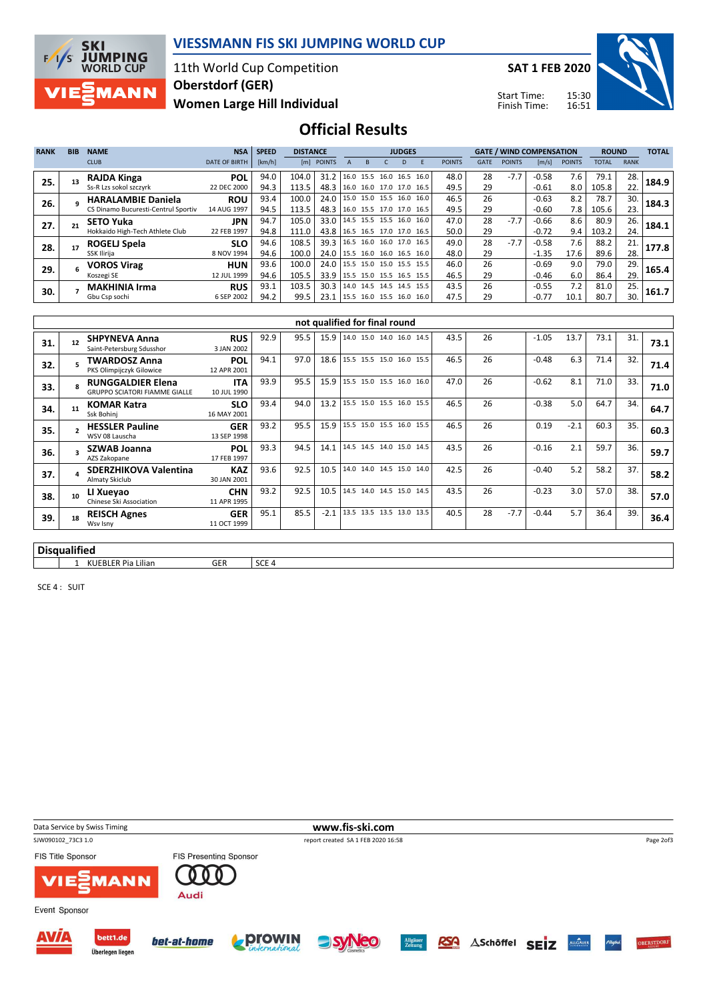

## VIESSMANN FIS SKI JUMPING WORLD CUP

11th World Cup Competition Women Large Hill Individual Oberstdorf (GER)

SAT 1 FEB 2020

Start Time: Finish Time:



Official Results

| <b>RANK</b> | <b>BIB</b> | <b>NAME</b>                         | <b>NSA</b>           | <b>SPEED</b> | <b>DISTANCE</b> |            |                          |                     |           | <b>JUDGES</b> |                          |               |             | <b>GATE / WIND COMPENSATION</b> |         |               | <b>ROUND</b> |             | <b>TOTAL</b> |
|-------------|------------|-------------------------------------|----------------------|--------------|-----------------|------------|--------------------------|---------------------|-----------|---------------|--------------------------|---------------|-------------|---------------------------------|---------|---------------|--------------|-------------|--------------|
|             |            | <b>CLUB</b>                         | <b>DATE OF BIRTH</b> | [km/h]       |                 | [m] POINTS |                          |                     |           | D.            |                          | <b>POINTS</b> | <b>GATE</b> | <b>POINTS</b>                   | [m/s]   | <b>POINTS</b> | <b>TOTAL</b> | <b>RANK</b> |              |
| 25.         |            | <b>RAJDA Kinga</b>                  | POL                  | 94.0         | 104.0           | 31.2       |                          |                     |           |               | 16.0 15.5 16.0 16.5 16.0 | 48.0          | 28          | $-7.7$                          | $-0.58$ | 7.6           | 79.1         | 28.         | 184.9        |
|             |            | Ss-R Lzs sokol szczyrk              | 22 DEC 2000          | 94.3         | 113.5           | 48.3       |                          |                     |           |               | 16.0 16.0 17.0 17.0 16.5 | 49.5          | 29          |                                 | $-0.61$ | 8.0           | 105.8        | 22.         |              |
| 26.         |            | <b>HARALAMBIE Daniela</b>           | <b>ROU</b>           | 93.4         | 100.0           | 24.0       |                          | 15.0 15.0 15.5 16.0 |           |               | 16.0                     | 46.5          | 26          |                                 | $-0.63$ | 8.2           | 78.7         | 30.         | 184.3        |
|             |            | CS Dinamo Bucuresti-Centrul Sportiv | 14 AUG 1997          | 94.5         | 113.5           | 48.3       | 16.0 15.5 17.0 17.0 16.5 |                     |           |               |                          | 49.5          | 29          |                                 | $-0.60$ | 7.8           | 105.6        | 23.         |              |
| 27.         | 21         | <b>SETO Yuka</b>                    | <b>JPN</b>           | 94.7         | 105.0           | 33.0       | 14.5 15.5 15.5 16.0      |                     |           |               | 16.0                     | 47.0          | 28          | $-7.7$                          | $-0.66$ | 8.6           | 80.9         | 26.         | 184.1        |
|             |            | Hokkaido High-Tech Athlete Club     | 22 FEB 1997          | 94.8         | 111.0           | 43.8       | 16.5 16.5 17.0 17.0 16.5 |                     |           |               |                          | 50.0          | 29          |                                 | $-0.72$ | 9.4           | 103.2        | 24.         |              |
| 28.         |            | ROGELJ Spela                        | <b>SLO</b>           | 94.6         | 108.5           | 39.3       | 16.5 16.0 16.0 17.0      |                     |           |               | 16.5                     | 49.0          | 28          | $-7.7$                          | $-0.58$ | 7.6           | 88.2         | 21.         | 177.8        |
|             |            | SSK Ilirija                         | 8 NOV 1994           | 94.6         | 100.0           | 24.0       | 15.5 16.0 16.0 16.5 16.0 |                     |           |               |                          | 48.0          | 29          |                                 | $-1.35$ | 17.6          | 89.6         | 28.         |              |
| 29.         |            | VOROS Virag                         | <b>HUN</b>           | 93.6         | 100.0           | 24.0       | 15.5 15.0 15.0 15.5 15.5 |                     |           |               |                          | 46.0          | 26          |                                 | $-0.69$ | 9.0           | 79.0         | 29.         | 165.4        |
|             |            | Koszegi SE                          | 12 JUL 1999          | 94.6         | 105.5           | 33.9       | 15.5 15.0 15.5 16.5 15.5 |                     |           |               |                          | 46.5          | 29          |                                 | $-0.46$ | 6.0           | 86.4         | 29.         |              |
| 30.         |            | <b>MAKHINIA Irma</b>                | <b>RUS</b>           | 93.1         | 103.5           | 30.3       | 14.0                     | 14.5                | 14.5 14.5 |               | 15.5                     | 43.5          | 26          |                                 | $-0.55$ | 7.2           | 81.0         | 25.         | 161.7        |
|             |            | Gbu Csp sochi                       | 6 SEP 2002           | 94.2         | 99.5            | 23.1       |                          |                     |           |               | 15.5 16.0 15.5 16.0 16.0 | 47.5          | 29          |                                 | $-0.77$ | 10.1          | 80.7         | 30.         |              |

|          | not qualified for final round |                                                                  |                           |      |      |        |                          |  |  |  |      |    |        |         |        |      |     |      |
|----------|-------------------------------|------------------------------------------------------------------|---------------------------|------|------|--------|--------------------------|--|--|--|------|----|--------|---------|--------|------|-----|------|
| 31.      |                               | <b>SHPYNEVA Anna</b><br>Saint-Petersburg Sdusshor                | <b>RUS</b><br>3 JAN 2002  | 92.9 | 95.5 | 15.9   | 14.0 15.0 14.0 16.0 14.5 |  |  |  | 43.5 | 26 |        | $-1.05$ | 13.7   | 73.1 | 31. | 73.1 |
| 32.      |                               | <b>TWARDOSZ Anna</b><br>PKS Olimpijczyk Gilowice                 | <b>POL</b><br>12 APR 2001 | 94.1 | 97.0 | 18.6   | 15.5 15.5 15.0 16.0 15.5 |  |  |  | 46.5 | 26 |        | $-0.48$ | 6.3    | 71.4 | 32. | 71.4 |
| 33.      |                               | <b>RUNGGALDIER Elena</b><br><b>GRUPPO SCIATORI FIAMME GIALLE</b> | <b>ITA</b><br>10 JUL 1990 | 93.9 | 95.5 | 15.9   | 15.5 15.0 15.5 16.0 16.0 |  |  |  | 47.0 | 26 |        | $-0.62$ | 8.1    | 71.0 | 33. | 71.0 |
| 34.      | 11                            | <b>KOMAR Katra</b><br>Ssk Bohinj                                 | <b>SLO</b><br>16 MAY 2001 | 93.4 | 94.0 | 13.2   | 15.5 15.0 15.5 16.0 15.5 |  |  |  | 46.5 | 26 |        | $-0.38$ | 5.0    | 64.7 | 34. | 64.7 |
| 35.      |                               | <b>HESSLER Pauline</b><br>WSV 08 Lauscha                         | <b>GER</b><br>13 SEP 1998 | 93.2 | 95.5 | 15.9   | 15.5 15.0 15.5 16.0 15.5 |  |  |  | 46.5 | 26 |        | 0.19    | $-2.1$ | 60.3 | 35. | 60.3 |
| 36.      |                               | <b>SZWAB Joanna</b><br>AZS Zakopane                              | <b>POL</b><br>17 FEB 1997 | 93.3 | 94.5 | 14.1   | 14.5 14.5 14.0 15.0 14.5 |  |  |  | 43.5 | 26 |        | $-0.16$ | 2.1    | 59.7 | 36. | 59.7 |
| 37.      |                               | <b>SDERZHIKOVA Valentina</b><br>Almaty Skiclub                   | <b>KAZ</b><br>30 JAN 2001 | 93.6 | 92.5 | 10.5   | 14.0 14.0 14.5 15.0 14.0 |  |  |  | 42.5 | 26 |        | $-0.40$ | 5.2    | 58.2 | 37. | 58.2 |
| 38.      | 10                            | LI Xueyao<br>Chinese Ski Association                             | <b>CHN</b><br>11 APR 1995 | 93.2 | 92.5 | 10.5   | 14.5 14.0 14.5 15.0 14.5 |  |  |  | 43.5 | 26 |        | $-0.23$ | 3.0    | 57.0 | 38. | 57.0 |
| 39.      | 18                            | <b>REISCH Agnes</b><br>Wsv Isny                                  | <b>GER</b><br>11 OCT 1999 | 95.1 | 85.5 | $-2.1$ | 13.5 13.5 13.5 13.0 13.5 |  |  |  | 40.5 | 28 | $-7.7$ | $-0.44$ | 5.7    | 36.4 | 39. | 36.4 |
| $ \cdot$ |                               | $\cdots$                                                         |                           |      |      |        |                          |  |  |  |      |    |        |         |        |      |     |      |

## Disqualified

1 KUEBLER Pia Lilian GER SCE 4

SCE 4 : SUIT